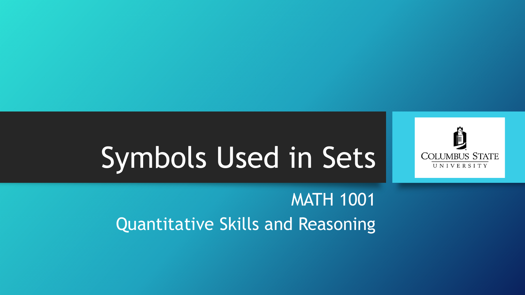

# Symbols Used in Sets

MATH 1001 Quantitative Skills and Reasoning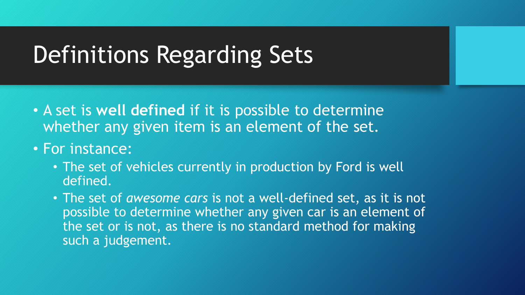- A set is **well defined** if it is possible to determine whether any given item is an element of the set.
- For instance:
	- The set of vehicles currently in production by Ford is well defined.
	- The set of *awesome cars* is not a well-defined set, as it is not possible to determine whether any given car is an element of the set or is not, as there is no standard method for making such a judgement.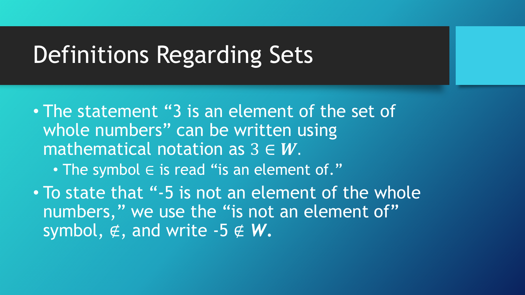- The statement "3 is an element of the set of whole numbers" can be written using mathematical notation as  $3 \in W$ .
	- The symbol  $\in$  is read "is an element of."
- To state that "-5 is not an element of the whole numbers," we use the "is not an element of" symbol,  $\notin$ , and write -5  $\notin$  **W**.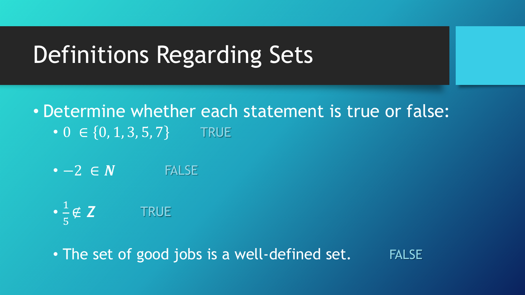- Determine whether each statement is true or false: •  $0 \in \{0, 1, 3, 5, 7\}$ **TRUE** 
	- $\bullet -2 \in N$  FALSE

$$
\bullet \; \frac{1}{5} \notin \mathbf{Z} \qquad \qquad \text{TRUE}
$$

• The set of good jobs is a well-defined set. FALSE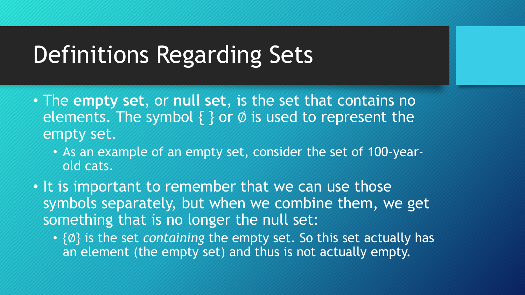- The **empty set**, or **null set**, is the set that contains no elements. The symbol  $\{ \}$  or  $\emptyset$  is used to represent the empty set.
	- As an example of an empty set, consider the set of 100-yearold cats.
- It is important to remember that we can use those symbols separately, but when we combine them, we get something that is no longer the null set:
	- {Ø} is the set *containing* the empty set. So this set actually has an element (the empty set) and thus is not actually empty.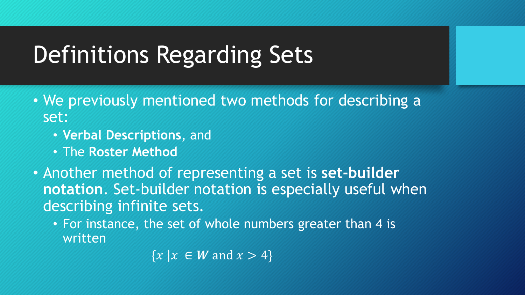- We previously mentioned two methods for describing a set:
	- **Verbal Descriptions**, and
	- The **Roster Method**
- Another method of representing a set is **set-builder notation**. Set-builder notation is especially useful when describing infinite sets.
	- For instance, the set of whole numbers greater than 4 is written

 ${x \mid x \in W \text{ and } x > 4}$